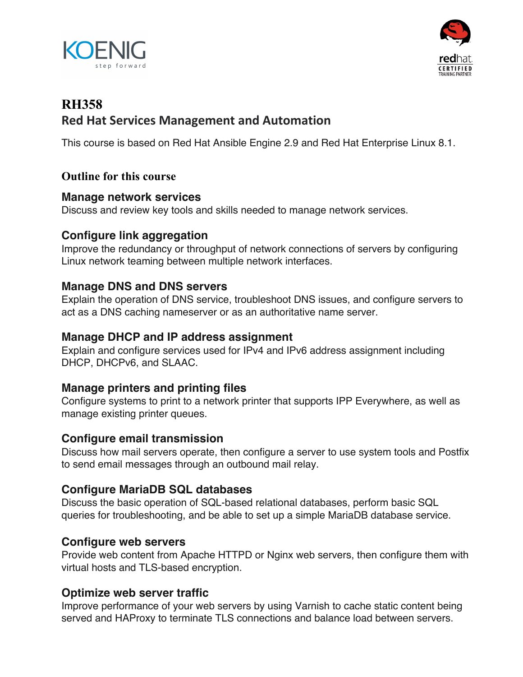



# **RH358 Red Hat Services Management and Automation**

This course is based on Red Hat Ansible Engine 2.9 and Red Hat Enterprise Linux 8.1.

# **Outline for this course**

#### **Manage network services**

Discuss and review key tools and skills needed to manage network services.

# **Configure link aggregation**

Improve the redundancy or throughput of network connections of servers by configuring Linux network teaming between multiple network interfaces.

## **Manage DNS and DNS servers**

Explain the operation of DNS service, troubleshoot DNS issues, and configure servers to act as a DNS caching nameserver or as an authoritative name server.

#### **Manage DHCP and IP address assignment**

Explain and configure services used for IPv4 and IPv6 address assignment including DHCP, DHCPv6, and SLAAC.

## **Manage printers and printing files**

Configure systems to print to a network printer that supports IPP Everywhere, as well as manage existing printer queues.

## **Configure email transmission**

Discuss how mail servers operate, then configure a server to use system tools and Postfix to send email messages through an outbound mail relay.

# **Configure MariaDB SQL databases**

Discuss the basic operation of SQL-based relational databases, perform basic SQL queries for troubleshooting, and be able to set up a simple MariaDB database service.

## **Configure web servers**

Provide web content from Apache HTTPD or Nginx web servers, then configure them with virtual hosts and TLS-based encryption.

## **Optimize web server traffic**

Improve performance of your web servers by using Varnish to cache static content being served and HAProxy to terminate TLS connections and balance load between servers.